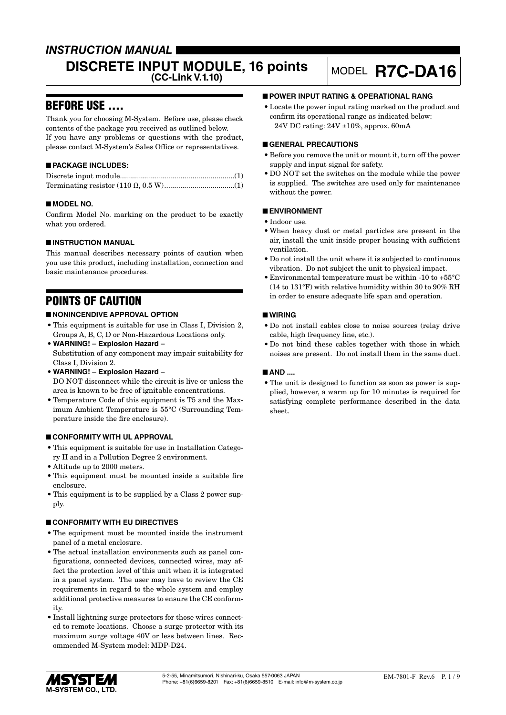### *INSTRUCTION MANUAL*

# **DISCRETE INPUT MODULE, 16 points** MODEL **R7C-DA16**

### BEFORE USE ....

Thank you for choosing M-System. Before use, please check contents of the package you received as outlined below. If you have any problems or questions with the product, please contact M-System's Sales Office or representatives.

### ■ **PACKAGE INCLUDES:**

### ■ **MODEL NO.**

Confirm Model No. marking on the product to be exactly what you ordered.

### ■ **INSTRUCTION MANUAL**

This manual describes necessary points of caution when you use this product, including installation, connection and basic maintenance procedures.

### POINTS OF CAUTION

### ■ **NONINCENDIVE APPROVAL OPTION**

- This equipment is suitable for use in Class I, Division 2, Groups A, B, C, D or Non-Hazardous Locations only.
- **WARNING! Explosion Hazard –** Substitution of any component may impair suitability for Class I, Division 2.
- **WARNING! Explosion Hazard –** DO NOT disconnect while the circuit is live or unless the area is known to be free of ignitable concentrations.
- Temperature Code of this equipment is T5 and the Maximum Ambient Temperature is 55°C (Surrounding Temperature inside the fire enclosure).

### ■ **CONFORMITY WITH UL APPROVAL**

- This equipment is suitable for use in Installation Category II and in a Pollution Degree 2 environment.
- Altitude up to 2000 meters.
- This equipment must be mounted inside a suitable fire enclosure.
- This equipment is to be supplied by a Class 2 power supply.

### ■ **CONFORMITY WITH EU DIRECTIVES**

- The equipment must be mounted inside the instrument panel of a metal enclosure.
- The actual installation environments such as panel configurations, connected devices, connected wires, may affect the protection level of this unit when it is integrated in a panel system. The user may have to review the CE requirements in regard to the whole system and employ additional protective measures to ensure the CE conformity.
- Install lightning surge protectors for those wires connected to remote locations. Choose a surge protector with its maximum surge voltage 40V or less between lines. Recommended M-System model: MDP-D24.

### ■ **POWER INPUT RATING & OPERATIONAL RANG**

• Locate the power input rating marked on the product and confirm its operational range as indicated below: 24V DC rating: 24V ±10%, approx. 60mA

### ■ **GENERAL PRECAUTIONS**

- Before you remove the unit or mount it, turn off the power supply and input signal for safety.
- DO NOT set the switches on the module while the power is supplied. The switches are used only for maintenance without the power.

### ■ **ENVIRONMENT**

- Indoor use.
- When heavy dust or metal particles are present in the air, install the unit inside proper housing with sufficient ventilation.
- Do not install the unit where it is subjected to continuous vibration. Do not subject the unit to physical impact.
- Environmental temperature must be within -10 to +55°C (14 to 131°F) with relative humidity within 30 to 90% RH in order to ensure adequate life span and operation.

### ■ **WIRING**

- Do not install cables close to noise sources (relay drive cable, high frequency line, etc.).
- Do not bind these cables together with those in which noises are present. Do not install them in the same duct.

### ■ AND ....

• The unit is designed to function as soon as power is supplied, however, a warm up for 10 minutes is required for satisfying complete performance described in the data sheet.

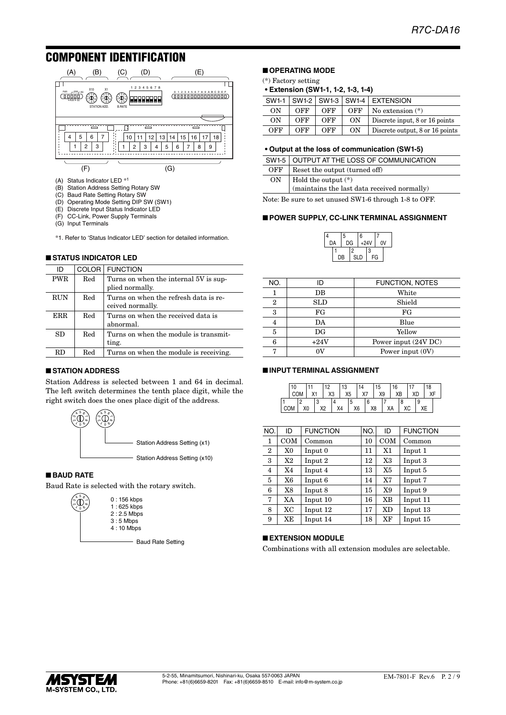### COMPONENT IDENTIFICATION



- 
- (B) Station Address Setting Rotary SW
- (C) Baud Rate Setting Rotary SW
- (D) Operating Mode Setting DIP SW (SW1) (E) Discrete Input Status Indicator LED
- (F) CC-Link, Power Supply Terminals
- (G) Input Terminals
- \*1. Refer to 'Status Indicator LED' section for detailed information.

#### ■ **STATUS INDICATOR LED**

| ID         | COLOR <sup>1</sup> | <b>FUNCTION</b>                                           |
|------------|--------------------|-----------------------------------------------------------|
| <b>PWR</b> | Red                | Turns on when the internal 5V is sup-<br>plied normally.  |
| <b>RUN</b> | Red                | Turns on when the refresh data is re-<br>ceived normally. |
| ERR.       | Red                | Turns on when the received data is<br>abnormal.           |
| SD         | Red                | Turns on when the module is transmit-<br>ting.            |
| RD.        | $_{\rm Red}$       | Turns on when the module is receiving.                    |

### ■ **STATION ADDRESS**

Station Address is selected between 1 and 64 in decimal. The left switch determines the tenth place digit, while the right switch does the ones place digit of the address.



### ■ **BAUD RATE**

ო

Baud Rate is selected with the rotary switch.



- Baud Rate Setting

### ■ **OPERATING MODE**

(\*) Factory setting

#### **• Extension (SW1-1, 1-2, 1-3, 1-4)**

| SW1-1 |     |     |            | $ SW1-2 SW1-3 SW1-4 $ EXTENSION |
|-------|-----|-----|------------|---------------------------------|
| OΝ    | OFF | OFF | <b>OFF</b> | No extension $(*)$              |
| ON    | OFF | OFF | ON         | Discrete input, 8 or 16 points  |
| OFF   | OFF | OFF | ON         | Discrete output, 8 or 16 points |

#### **• Output at the loss of communication (SW1-5)**

|     | SW1-5 OUTPUT AT THE LOSS OF COMMUNICATION                            |
|-----|----------------------------------------------------------------------|
| OFF | Reset the output (turned off)                                        |
| ON  | Hold the output (*)<br>$(maintains the last data received normally)$ |

Note: Be sure to set unused SW1-6 through 1-8 to OFF.

4

#### ■ **POWER SUPPLY, CC-LINK TERMINAL ASSIGNMENT**

|    |    | 5  |     | 6      |    |    |  |
|----|----|----|-----|--------|----|----|--|
| DA |    | DG |     | $+24V$ |    | ٥V |  |
|    |    |    | 2   |        | 3  |    |  |
|    | DB |    | SLD |        | FG |    |  |

| NO. | חו          | <b>FUNCTION, NOTES</b> |
|-----|-------------|------------------------|
|     | DB          | White                  |
| 2   | SLD         | Shield                 |
| 3   | FG          | FG                     |
| 4   | DA          | Blue                   |
| 5   | $_{\rm DG}$ | Yellow                 |
| 6   | $+24V$      | Power input (24V DC)   |
|     | ov          | Power input (0V)       |
|     |             |                        |

#### ■ **INPUT TERMINAL ASSIGNMENT**

|  | 10 |    |    | 12 |    | 13 |    |     |    | 15 |    | 16 |    |    |   | 18<br>vr |  |
|--|----|----|----|----|----|----|----|-----|----|----|----|----|----|----|---|----------|--|
|  |    |    |    | X3 |    | X5 |    | ,,, |    | X9 |    |    | ХB | ХC |   |          |  |
|  |    |    |    |    |    |    | л. |     |    |    |    |    |    |    | 9 |          |  |
|  |    | X0 | X2 |    | X4 |    | X6 |     | X8 |    | ХA |    |    |    |   |          |  |

| NO.              | ID  | <b>FUNCTION</b> | NO. | ID             | <b>FUNCTION</b> |
|------------------|-----|-----------------|-----|----------------|-----------------|
| 1                | COM | Common          | 10  | COM            | Common          |
| $\boldsymbol{2}$ | X0  | Input 0         | 11  | X1             | Input 1         |
| 3                | X2  | Input 2         | 12  | X3             | Input 3         |
| $\overline{4}$   | X4  | Input 4         | 13  | X <sub>5</sub> | Input 5         |
| 5                | X6  | Input 6         | 14  | X7             | Input 7         |
| 6                | X8  | Input 8         | 15  | X9             | Input 9         |
| 7                | XA  | Input 10        | 16  | XB             | Input 11        |
| 8                | XC  | Input 12        | 17  | <b>XD</b>      | Input 13        |
| 9                | XE  | Input 14        | 18  | XF             | Input 15        |

#### ■ **EXTENSION MODULE**

Combinations with all extension modules are selectable.

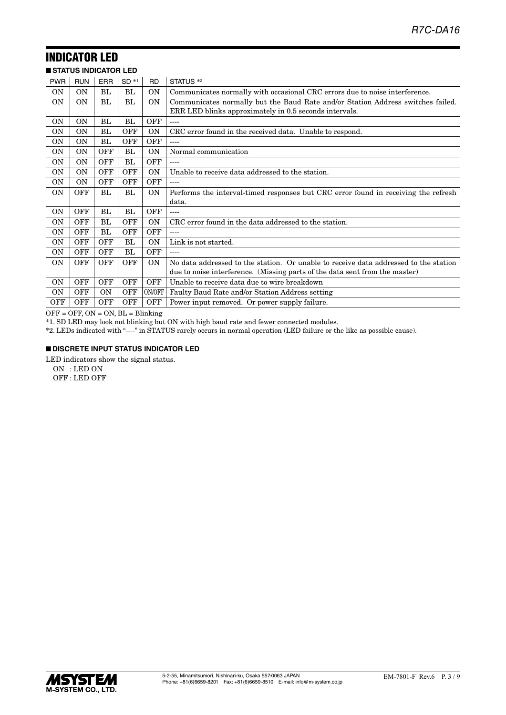## INDICATOR LED

|                | <b>STATUS INDICATOR LED</b> |            |            |            |                                                                                      |
|----------------|-----------------------------|------------|------------|------------|--------------------------------------------------------------------------------------|
| <b>PWR</b>     | <b>RUN</b>                  | <b>ERR</b> | $SD *1$    | <b>RD</b>  | STATUS <sup>*2</sup>                                                                 |
| 0N             | ON                          | BL         | BL.        | ON         | Communicates normally with occasional CRC errors due to noise interference.          |
| <b>ON</b>      | <b>ON</b>                   | BL         | BL         | ON         | Communicates normally but the Baud Rate and/or Station Address switches failed.      |
|                |                             |            |            |            | ERR LED blinks approximately in 0.5 seconds intervals.                               |
| <b>ON</b>      | <b>ON</b>                   | BL         | BL         | <b>OFF</b> | $---$                                                                                |
| <b>ON</b>      | <b>ON</b>                   | BL         | <b>OFF</b> | <b>ON</b>  | CRC error found in the received data. Unable to respond.                             |
| ON             | 0N                          | BL         | OFF        | <b>OFF</b> | $---$                                                                                |
| ON             | 0N                          | <b>OFF</b> | BL         | <b>ON</b>  | Normal communication                                                                 |
| ON             | 0N                          | <b>OFF</b> | BL         | <b>OFF</b> |                                                                                      |
| <b>ON</b>      | ΟN                          | <b>OFF</b> | <b>OFF</b> | <b>ON</b>  | Unable to receive data addressed to the station.                                     |
| <b>ON</b>      | <b>ON</b>                   | <b>OFF</b> | <b>OFF</b> | <b>OFF</b> | $---$                                                                                |
| 0N             | OFF                         | BL         | BL         | ON         | Performs the interval-timed responses but CRC error found in receiving the refresh   |
|                |                             |            |            |            | data.                                                                                |
| <b>ON</b>      | <b>OFF</b>                  | BL         | BL         | <b>OFF</b> | ----                                                                                 |
| <b>ON</b>      | <b>OFF</b>                  | BL         | <b>OFF</b> | ON         | CRC error found in the data addressed to the station.                                |
| <b>ON</b>      | OFF                         | BL         | <b>OFF</b> | <b>OFF</b> |                                                                                      |
| <b>ON</b>      | OFF                         | OFF        | BL         | <b>ON</b>  | Link is not started.                                                                 |
| <b>ON</b>      | <b>OFF</b>                  | <b>OFF</b> | BL         | <b>OFF</b> | ----                                                                                 |
| <b>ON</b>      | <b>OFF</b>                  | OFF        | <b>OFF</b> | <b>ON</b>  | No data addressed to the station. Or unable to receive data addressed to the station |
|                |                             |            |            |            | due to noise interference. (Missing parts of the data sent from the master)          |
| <b>ON</b>      | OFF                         | <b>OFF</b> | <b>OFF</b> | <b>OFF</b> | Unable to receive data due to wire breakdown                                         |
| 0 <sub>N</sub> | <b>OFF</b>                  | <b>ON</b>  | <b>OFF</b> | ON/OFF     | Faulty Baud Rate and/or Station Address setting                                      |
| <b>OFF</b>     | <b>OFF</b>                  | <b>OFF</b> | <b>OFF</b> | <b>OFF</b> | Power input removed. Or power supply failure.                                        |

 $\overline{OFF} = \overline{OFF}$ ,  $ON = ON$ ,  $BL = Blinking$ 

\*1. SD LED may look not blinking but ON with high baud rate and fewer connected modules.

\*2. LEDs indicated with "----" in STATUS rarely occurs in normal operation (LED failure or the like as possible cause).

### ■ **DISCRETE INPUT STATUS INDICATOR LED**

LED indicators show the signal status.

ON : LED ON

OFF : LED OFF

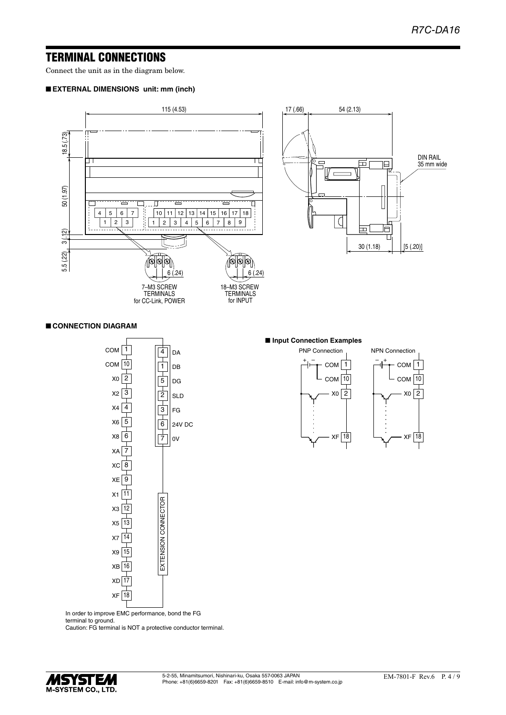### TERMINAL CONNECTIONS

Connect the unit as in the diagram below.

### ■ **EXTERNAL DIMENSIONS unit: mm (inch)**



#### ■ **CONNECTION DIAGRAM**



#### ■ **Input Connection Examples**



1

COM

4

DA

In order to improve EMC performance, bond the FG terminal to ground.

Caution: FG terminal is NOT a protective conductor terminal.

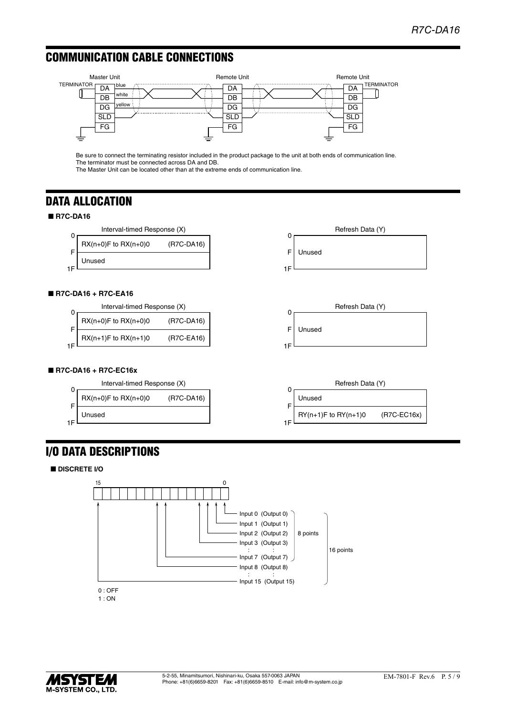### COMMUNICATION CABLE CONNECTIONS



Be sure to connect the terminating resistor included in the product package to the unit at both ends of communication line. The terminator must be connected across DA and DB.

The Master Unit can be located other than at the extreme ends of communication line.

### DATA ALLOCATION

### ■ **R7C-DA16**



### ■ **R7C-DA16 + R7C-EA16**

|     | Interval-timed Response (X)                         |            | Refresh Data (Y) |
|-----|-----------------------------------------------------|------------|------------------|
| -   | $\mathsf{RX}(n+0)$ F to $\mathsf{RX}(n+0)0$         | (R7C-DA16) |                  |
| 1 C | $\mathsf{RX}(n+1)\mathsf{F}$ to $\mathsf{RX}(n+1)0$ | (R7C-EA16) | Unused           |
|     |                                                     |            |                  |

### ■ **R7C-DA16 + R7C-EC16x**



## I/O DATA DESCRIPTIONS

### ■ **DISCRETE I/O**



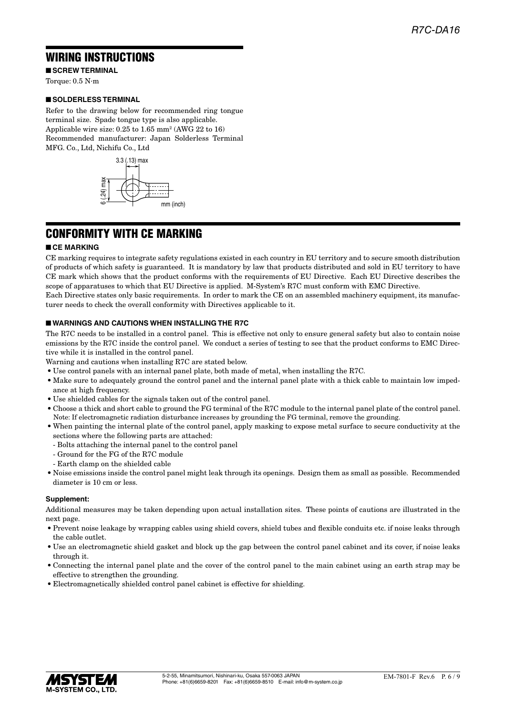### WIRING INSTRUCTIONS

■ **SCREW TERMINAL** 

Torque: 0.5 N·m

### ■ **SOLDERLESS TERMINAL**

Refer to the drawing below for recommended ring tongue terminal size. Spade tongue type is also applicable. Applicable wire size: 0.25 to 1.65 mm<sup>2</sup> (AWG 22 to 16) Recommended manufacturer: Japan Solderless Terminal MFG. Co., Ltd, Nichifu Co., Ltd



### CONFORMITY WITH CE MARKING

### ■ **CE MARKING**

CE marking requires to integrate safety regulations existed in each country in EU territory and to secure smooth distribution of products of which safety is guaranteed. It is mandatory by law that products distributed and sold in EU territory to have CE mark which shows that the product conforms with the requirements of EU Directive. Each EU Directive describes the scope of apparatuses to which that EU Directive is applied. M-System's R7C must conform with EMC Directive. Each Directive states only basic requirements. In order to mark the CE on an assembled machinery equipment, its manufac-

turer needs to check the overall conformity with Directives applicable to it.

#### ■ **WARNINGS AND CAUTIONS WHEN INSTALLING THE R7C**

The R7C needs to be installed in a control panel. This is effective not only to ensure general safety but also to contain noise emissions by the R7C inside the control panel. We conduct a series of testing to see that the product conforms to EMC Directive while it is installed in the control panel.

Warning and cautions when installing R7C are stated below.

- Use control panels with an internal panel plate, both made of metal, when installing the R7C.
- Make sure to adequately ground the control panel and the internal panel plate with a thick cable to maintain low impedance at high frequency.
- Use shielded cables for the signals taken out of the control panel.
- Choose a thick and short cable to ground the FG terminal of the R7C module to the internal panel plate of the control panel. Note: If electromagnetic radiation disturbance increases by grounding the FG terminal, remove the grounding.
- When painting the internal plate of the control panel, apply masking to expose metal surface to secure conductivity at the sections where the following parts are attached:
	- Bolts attaching the internal panel to the control panel
	- Ground for the FG of the R7C module
	- Earth clamp on the shielded cable
- Noise emissions inside the control panel might leak through its openings. Design them as small as possible. Recommended diameter is 10 cm or less.

### **Supplement:**

Additional measures may be taken depending upon actual installation sites. These points of cautions are illustrated in the next page.

- Prevent noise leakage by wrapping cables using shield covers, shield tubes and flexible conduits etc. if noise leaks through the cable outlet.
- Use an electromagnetic shield gasket and block up the gap between the control panel cabinet and its cover, if noise leaks through it.
- Connecting the internal panel plate and the cover of the control panel to the main cabinet using an earth strap may be effective to strengthen the grounding.
- Electromagnetically shielded control panel cabinet is effective for shielding.

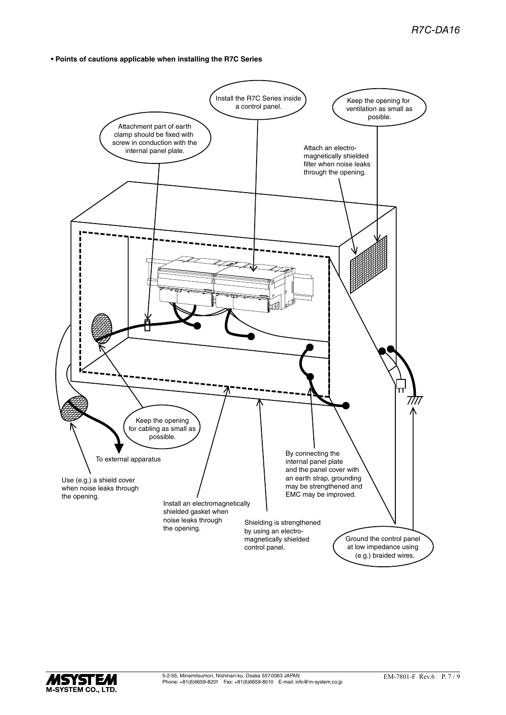**• Points of cautions applicable when installing the R7C Series**



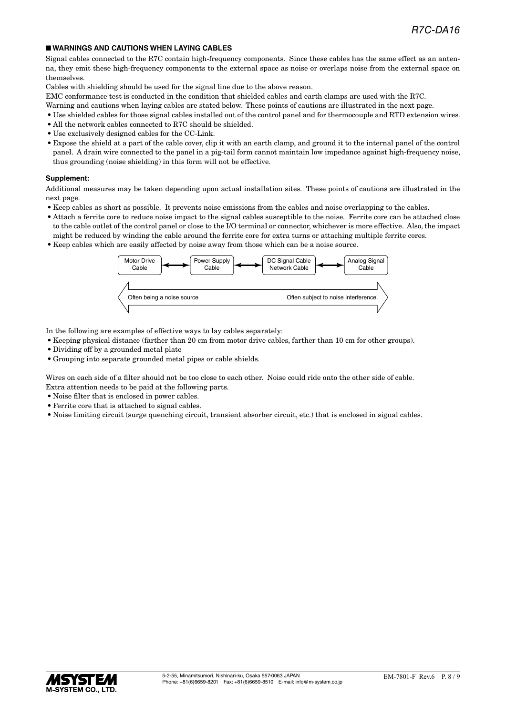### ■ **WARNINGS AND CAUTIONS WHEN LAYING CABLES**

Signal cables connected to the R7C contain high-frequency components. Since these cables has the same effect as an antenna, they emit these high-frequency components to the external space as noise or overlaps noise from the external space on themselves.

Cables with shielding should be used for the signal line due to the above reason.

EMC conformance test is conducted in the condition that shielded cables and earth clamps are used with the R7C.

- Warning and cautions when laying cables are stated below. These points of cautions are illustrated in the next page.
- Use shielded cables for those signal cables installed out of the control panel and for thermocouple and RTD extension wires.
- All the network cables connected to R7C should be shielded.
- Use exclusively designed cables for the CC-Link.
- Expose the shield at a part of the cable cover, clip it with an earth clamp, and ground it to the internal panel of the control panel. A drain wire connected to the panel in a pig-tail form cannot maintain low impedance against high-frequency noise, thus grounding (noise shielding) in this form will not be effective.

#### **Supplement:**

Additional measures may be taken depending upon actual installation sites. These points of cautions are illustrated in the next page.

- Keep cables as short as possible. It prevents noise emissions from the cables and noise overlapping to the cables.
- Attach a ferrite core to reduce noise impact to the signal cables susceptible to the noise. Ferrite core can be attached close to the cable outlet of the control panel or close to the I/O terminal or connector, whichever is more effective. Also, the impact might be reduced by winding the cable around the ferrite core for extra turns or attaching multiple ferrite cores.
- Keep cables which are easily affected by noise away from those which can be a noise source.



In the following are examples of effective ways to lay cables separately:

- Keeping physical distance (farther than 20 cm from motor drive cables, farther than 10 cm for other groups).
- Dividing off by a grounded metal plate
- Grouping into separate grounded metal pipes or cable shields.

Wires on each side of a filter should not be too close to each other. Noise could ride onto the other side of cable. Extra attention needs to be paid at the following parts.

- Noise filter that is enclosed in power cables.
- Ferrite core that is attached to signal cables.
- Noise limiting circuit (surge quenching circuit, transient absorber circuit, etc.) that is enclosed in signal cables.